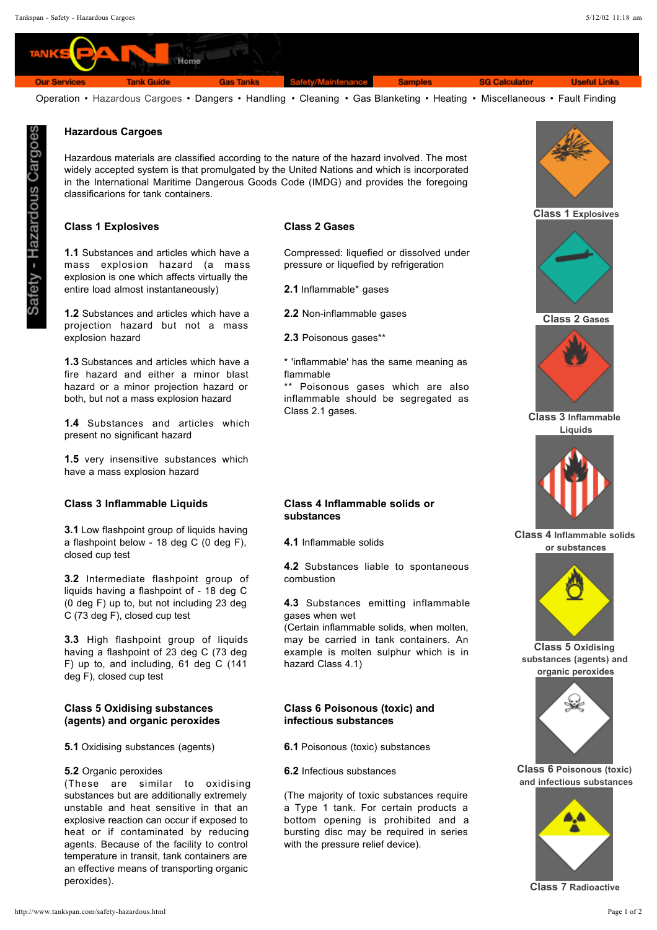

Operation • Hazardous Cargoes • Dangers • Handling • Cleaning • Gas Blanketing • Heating • Miscellaneous • Fault Finding

## **Hazardous Cargoes**

Hazardous materials are classified according to the nature of the hazard involved. The most widely accepted system is that promulgated by the United Nations and which is incorporated in the International Maritime Dangerous Goods Code (IMDG) and provides the foregoing classificarions for tank containers.

## **Class 1 Explosives Class 2 Gases**

1.1 Substances and articles which have a mass explosion hazard (a mass explosion is one which affects virtually the entire load almost instantaneously)

1.2 Substances and articles which have a projection hazard but not a mass explosion hazard

1.3 Substances and articles which have a fire hazard and either a minor blast hazard or a minor projection hazard or both, but not a mass explosion hazard

1.4 Substances and articles which present no significant hazard

1.5 very insensitive substances which have a mass explosion hazard

## **Class 3 Inflammable Liquids Class 4 Inflammable solids or**

**3.1** Low flashpoint group of liquids having a flashpoint below - 18 deg C (0 deg F), closed cup test

**3.2** Intermediate flashpoint group of liquids having a flashpoint of - 18 deg C (0 deg F) up to, but not including 23 deg C (73 deg F), closed cup test

3.3 High flashpoint group of liquids having a flashpoint of 23 deg C (73 deg F) up to, and including, 61 deg C (141 deg F), closed cup test

## **(agents) and organic peroxides Class 5 Oxidising substances**

**5.1** Oxidising substances (agents)

### 5.2 Organic peroxides

(These are similar to oxidising substances but are additionally extremely unstable and heat sensitive in that an explosive reaction can occur if exposed to heat or if contaminated by reducing agents. Because of the facility to control temperature in transit, tank containers are an effective means of transporting organic peroxides).

Compressed: liquefied or dissolved under pressure or liquefied by refrigeration

2.1 Inflammable\* gases

2.2 Non-inflammable gases

2.3 Poisonous gases\*\*

\* 'inflammable' has the same meaning as flammable

\*\* Poisonous gases which are also inflammable should be segregated as Class 2.1 gases.

# **substances**

4.1 Inflammable solids

4.2 Substances liable to spontaneous combustion

4.3 Substances emitting inflammable gases when wet

(Certain inflammable solids, when molten, may be carried in tank containers. An example is molten sulphur which is in hazard Class 4.1)

## **Class 6 Poisonous (toxic) and infectious substances**

6.1 Poisonous (toxic) substances

6.2 Infectious substances

(The majority of toxic substances require a Type 1 tank. For certain products a bottom opening is prohibited and a bursting disc may be required in series with the pressure relief device).



**Class 1 Explosives**



**Class 2 Gases**



**Class 3 Inflammable Liquids**



**Class 4 Inflammable solids or substances**



**Class 5 Oxidising substances (agents) and organic peroxides**



**Class 6 Poisonous (toxic) and infectious substances**



**Class 7 Radioactive**